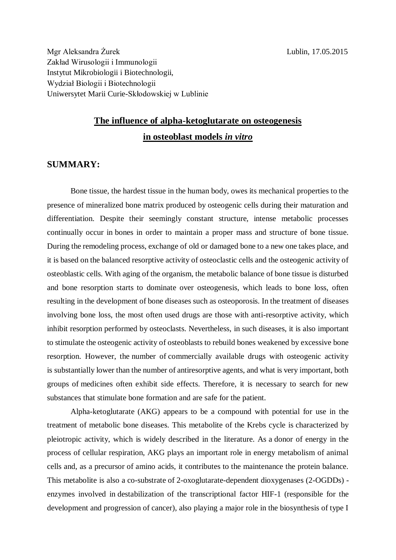Mgr Aleksandra Żurek Lublin, 17.05.2015 Zakład Wirusologii i Immunologii Instytut Mikrobiologii i Biotechnologii, Wydział Biologii i Biotechnologii Uniwersytet Marii Curie-Skłodowskiej w Lublinie

## **The influence of alpha-ketoglutarate on osteogenesis in osteoblast models** *in vitro*

## **SUMMARY:**

Bone tissue, the hardest tissue in the human body, owes its mechanical properties to the presence of mineralized bone matrix produced by osteogenic cells during their maturation and differentiation. Despite their seemingly constant structure, intense metabolic processes continually occur in bones in order to maintain a proper mass and structure of bone tissue. During the remodeling process, exchange of old or damaged bone to a new one takes place, and it is based on the balanced resorptive activity of osteoclastic cells and the osteogenic activity of osteoblastic cells. With aging of the organism, the metabolic balance of bone tissue is disturbed and bone resorption starts to dominate over osteogenesis, which leads to bone loss, often resulting in the development of bone diseases such as osteoporosis. In the treatment of diseases involving bone loss, the most often used drugs are those with anti-resorptive activity, which inhibit resorption performed by osteoclasts. Nevertheless, in such diseases, it is also important to stimulate the osteogenic activity of osteoblasts to rebuild bones weakened by excessive bone resorption. However, the number of commercially available drugs with osteogenic activity is substantially lower than the number of antiresorptive agents, and what is very important, both groups of medicines often exhibit side effects. Therefore, it is necessary to search for new substances that stimulate bone formation and are safe for the patient.

Alpha-ketoglutarate (AKG) appears to be a compound with potential for use in the treatment of metabolic bone diseases. This metabolite of the Krebs cycle is characterized by pleiotropic activity, which is widely described in the literature. As a donor of energy in the process of cellular respiration, AKG plays an important role in energy metabolism of animal cells and, as a precursor of amino acids, it contributes to the maintenance the protein balance. This metabolite is also a co-substrate of 2-oxoglutarate-dependent dioxygenases (2-OGDDs) enzymes involved in destabilization of the transcriptional factor HIF-1 (responsible for the development and progression of cancer), also playing a major role in the biosynthesis of type I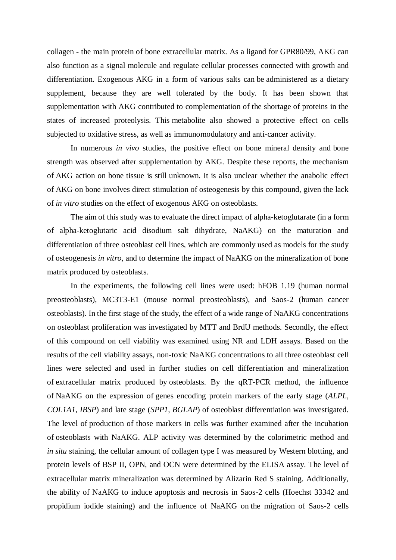collagen - the main protein of bone extracellular matrix. As a ligand for GPR80/99, AKG can also function as a signal molecule and regulate cellular processes connected with growth and differentiation. Exogenous AKG in a form of various salts can be administered as a dietary supplement, because they are well tolerated by the body. It has been shown that supplementation with AKG contributed to complementation of the shortage of proteins in the states of increased proteolysis. This metabolite also showed a protective effect on cells subjected to oxidative stress, as well as immunomodulatory and anti-cancer activity.

In numerous *in vivo* studies, the positive effect on bone mineral density and bone strength was observed after supplementation by AKG. Despite these reports, the mechanism of AKG action on bone tissue is still unknown. It is also unclear whether the anabolic effect of AKG on bone involves direct stimulation of osteogenesis by this compound, given the lack of *in vitro* studies on the effect of exogenous AKG on osteoblasts.

The aim of this study was to evaluate the direct impact of alpha-ketoglutarate (in a form of alpha-ketoglutaric acid disodium salt dihydrate, NaAKG) on the maturation and differentiation of three osteoblast cell lines, which are commonly used as models for the study of osteogenesis *in vitro*, and to determine the impact of NaAKG on the mineralization of bone matrix produced by osteoblasts.

In the experiments, the following cell lines were used: hFOB 1.19 (human normal preosteoblasts), MC3T3-E1 (mouse normal preosteoblasts), and Saos-2 (human cancer osteoblasts). In the first stage of the study, the effect of a wide range of NaAKG concentrations on osteoblast proliferation was investigated by MTT and BrdU methods. Secondly, the effect of this compound on cell viability was examined using NR and LDH assays. Based on the results of the cell viability assays, non-toxic NaAKG concentrations to all three osteoblast cell lines were selected and used in further studies on cell differentiation and mineralization of extracellular matrix produced by osteoblasts. By the qRT-PCR method, the influence of NaAKG on the expression of genes encoding protein markers of the early stage (*ALPL, COL1A1, IBSP*) and late stage (*SPP1, BGLAP*) of osteoblast differentiation was investigated. The level of production of those markers in cells was further examined after the incubation of osteoblasts with NaAKG. ALP activity was determined by the colorimetric method and *in situ* staining, the cellular amount of collagen type I was measured by Western blotting, and protein levels of BSP II, OPN, and OCN were determined by the ELISA assay. The level of extracellular matrix mineralization was determined by Alizarin Red S staining. Additionally, the ability of NaAKG to induce apoptosis and necrosis in Saos-2 cells (Hoechst 33342 and propidium iodide staining) and the influence of NaAKG on the migration of Saos-2 cells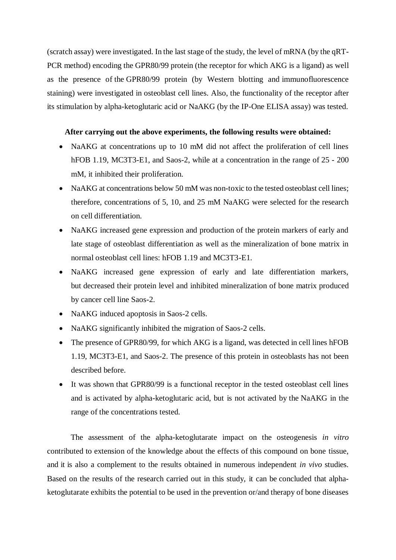(scratch assay) were investigated. In the last stage of the study, the level of mRNA (by the qRT-PCR method) encoding the GPR80/99 protein (the receptor for which AKG is a ligand) as well as the presence of the GPR80/99 protein (by Western blotting and immunofluorescence staining) were investigated in osteoblast cell lines. Also, the functionality of the receptor after its stimulation by alpha-ketoglutaric acid or NaAKG (by the IP-One ELISA assay) was tested.

## **After carrying out the above experiments, the following results were obtained:**

- NaAKG at concentrations up to 10 mM did not affect the proliferation of cell lines hFOB 1.19, MC3T3-E1, and Saos-2, while at a concentration in the range of  $25 - 200$ mM, it inhibited their proliferation.
- NaAKG at concentrations below 50 mM was non-toxic to the tested osteoblast cell lines; therefore, concentrations of 5, 10, and 25 mM NaAKG were selected for the research on cell differentiation.
- NaAKG increased gene expression and production of the protein markers of early and late stage of osteoblast differentiation as well as the mineralization of bone matrix in normal osteoblast cell lines: hFOB 1.19 and MC3T3-E1.
- NaAKG increased gene expression of early and late differentiation markers, but decreased their protein level and inhibited mineralization of bone matrix produced by cancer cell line Saos-2.
- NaAKG induced apoptosis in Saos-2 cells.
- NaAKG significantly inhibited the migration of Saos-2 cells.
- The presence of GPR80/99, for which AKG is a ligand, was detected in cell lines hFOB 1.19, MC3T3-E1, and Saos-2. The presence of this protein in osteoblasts has not been described before.
- It was shown that GPR80/99 is a functional receptor in the tested osteoblast cell lines and is activated by alpha-ketoglutaric acid, but is not activated by the NaAKG in the range of the concentrations tested.

The assessment of the alpha-ketoglutarate impact on the osteogenesis *in vitro* contributed to extension of the knowledge about the effects of this compound on bone tissue, and it is also a complement to the results obtained in numerous independent *in vivo* studies. Based on the results of the research carried out in this study, it can be concluded that alphaketoglutarate exhibits the potential to be used in the prevention or/and therapy of bone diseases